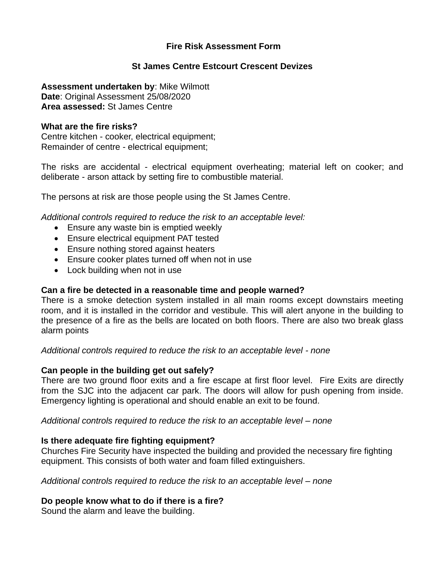# **Fire Risk Assessment Form**

## **St James Centre Estcourt Crescent Devizes**

**Assessment undertaken by**: Mike Wilmott **Date**: Original Assessment 25/08/2020 **Area assessed:** St James Centre

#### **What are the fire risks?**

Centre kitchen - cooker, electrical equipment; Remainder of centre - electrical equipment;

The risks are accidental - electrical equipment overheating; material left on cooker; and deliberate - arson attack by setting fire to combustible material.

The persons at risk are those people using the St James Centre.

*Additional controls required to reduce the risk to an acceptable level:*

- Ensure any waste bin is emptied weekly
- Ensure electrical equipment PAT tested
- Ensure nothing stored against heaters
- Ensure cooker plates turned off when not in use
- Lock building when not in use

## **Can a fire be detected in a reasonable time and people warned?**

There is a smoke detection system installed in all main rooms except downstairs meeting room, and it is installed in the corridor and vestibule. This will alert anyone in the building to the presence of a fire as the bells are located on both floors. There are also two break glass alarm points

*Additional controls required to reduce the risk to an acceptable level - none*

## **Can people in the building get out safely?**

There are two ground floor exits and a fire escape at first floor level. Fire Exits are directly from the SJC into the adjacent car park. The doors will allow for push opening from inside. Emergency lighting is operational and should enable an exit to be found.

*Additional controls required to reduce the risk to an acceptable level – none*

## **Is there adequate fire fighting equipment?**

Churches Fire Security have inspected the building and provided the necessary fire fighting equipment. This consists of both water and foam filled extinguishers.

#### *Additional controls required to reduce the risk to an acceptable level – none*

## **Do people know what to do if there is a fire?**

Sound the alarm and leave the building.